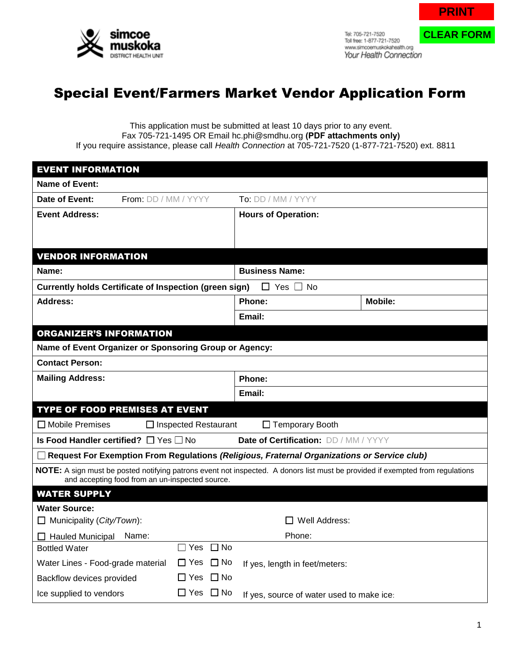

Tel: 705-721-7520 Toll free: 1-877-721-7520 www.simcoemuskokahealth.org Your Health Connection **PRINT**

**CLEAR FORM**

## Special Event/Farmers Market Vendor Application Form

This application must be submitted at least 10 days prior to any event. Fax 705-721-1495 OR Email hc.phi@smdhu.org **(PDF attachments only)** If you require assistance, please call *Health Connection* at 705-721-7520 (1-877-721-7520) ext. 8811

| <b>EVENT INFORMATION</b>                                                                                                                                                          |                                           |                |  |  |  |
|-----------------------------------------------------------------------------------------------------------------------------------------------------------------------------------|-------------------------------------------|----------------|--|--|--|
| Name of Event:                                                                                                                                                                    |                                           |                |  |  |  |
| Date of Event:<br>From: DD / MM / YYYY                                                                                                                                            | <b>To:</b> DD / MM / YYYY                 |                |  |  |  |
| <b>Event Address:</b>                                                                                                                                                             | <b>Hours of Operation:</b>                |                |  |  |  |
|                                                                                                                                                                                   |                                           |                |  |  |  |
|                                                                                                                                                                                   |                                           |                |  |  |  |
| <b>VENDOR INFORMATION</b>                                                                                                                                                         |                                           |                |  |  |  |
| Name:                                                                                                                                                                             | <b>Business Name:</b>                     |                |  |  |  |
| Currently holds Certificate of Inspection (green sign)                                                                                                                            | $\Box$ Yes $\Box$<br>∣No                  |                |  |  |  |
| Address:                                                                                                                                                                          | Phone:                                    | <b>Mobile:</b> |  |  |  |
|                                                                                                                                                                                   | Email:                                    |                |  |  |  |
| <b>ORGANIZER'S INFORMATION</b>                                                                                                                                                    |                                           |                |  |  |  |
| Name of Event Organizer or Sponsoring Group or Agency:                                                                                                                            |                                           |                |  |  |  |
| <b>Contact Person:</b>                                                                                                                                                            |                                           |                |  |  |  |
| <b>Mailing Address:</b>                                                                                                                                                           | Phone:                                    |                |  |  |  |
|                                                                                                                                                                                   | Email:                                    |                |  |  |  |
| <b>TYPE OF FOOD PREMISES AT EVENT</b>                                                                                                                                             |                                           |                |  |  |  |
| $\Box$ Mobile Premises<br>$\Box$ Inspected Restaurant                                                                                                                             | □ Temporary Booth                         |                |  |  |  |
| Is Food Handler certified? $\Box$ Yes $\Box$ No                                                                                                                                   | Date of Certification: DD / MM / YYYY     |                |  |  |  |
| $\Box$ Request For Exemption From Regulations (Religious, Fraternal Organizations or Service club)                                                                                |                                           |                |  |  |  |
| NOTE: A sign must be posted notifying patrons event not inspected. A donors list must be provided if exempted from regulations<br>and accepting food from an un-inspected source. |                                           |                |  |  |  |
| <b>WATER SUPPLY</b>                                                                                                                                                               |                                           |                |  |  |  |
| <b>Water Source:</b>                                                                                                                                                              |                                           |                |  |  |  |
| $\Box$ Municipality (City/Town):<br>$\Box$ Well Address:                                                                                                                          |                                           |                |  |  |  |
| $\Box$ Hauled Municipal<br>Name:                                                                                                                                                  | Phone:                                    |                |  |  |  |
| $\Box$ No<br>Yes<br><b>Bottled Water</b><br>$\mathcal{L}$                                                                                                                         |                                           |                |  |  |  |
| $\Box$ No<br>$\Box$ Yes<br>Water Lines - Food-grade material                                                                                                                      | If yes, length in feet/meters:            |                |  |  |  |
| □ Yes<br>$\Box$ No<br>Backflow devices provided                                                                                                                                   |                                           |                |  |  |  |
| $\Box$ Yes $\Box$ No<br>Ice supplied to vendors                                                                                                                                   | If yes, source of water used to make ice: |                |  |  |  |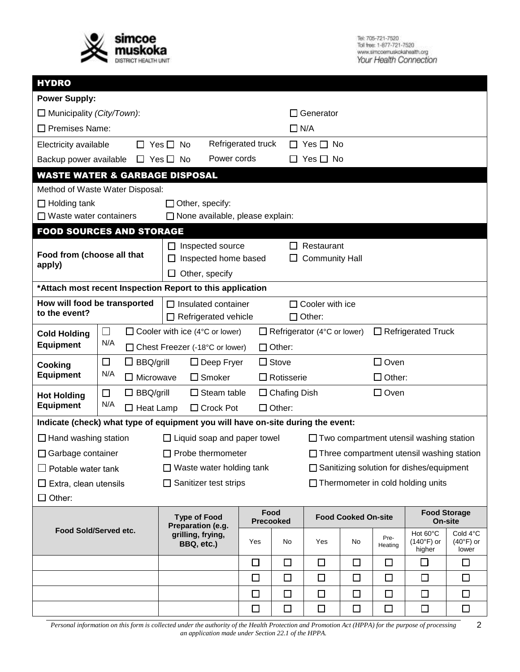

Tel: 705-721-7520<br>Toll free: 1-877-721-7520<br>www.simcoarruskokahaalth.org<br>Your Health Connection

| <b>HYDRO</b>                                                                                             |                             |                                          |                                                                                                      |                                                                                                          |                    |                            |                                                  |                                    |                                         |        |   |
|----------------------------------------------------------------------------------------------------------|-----------------------------|------------------------------------------|------------------------------------------------------------------------------------------------------|----------------------------------------------------------------------------------------------------------|--------------------|----------------------------|--------------------------------------------------|------------------------------------|-----------------------------------------|--------|---|
| <b>Power Supply:</b>                                                                                     |                             |                                          |                                                                                                      |                                                                                                          |                    |                            |                                                  |                                    |                                         |        |   |
| $\Box$ Municipality (City/Town):                                                                         |                             |                                          |                                                                                                      |                                                                                                          | ΙI                 | Generator                  |                                                  |                                    |                                         |        |   |
| $\Box$ Premises Name:                                                                                    |                             |                                          |                                                                                                      |                                                                                                          | $\Box$ N/A         |                            |                                                  |                                    |                                         |        |   |
| Electricity available                                                                                    |                             |                                          | $\Box$ Yes $\Box$ No                                                                                 |                                                                                                          | Refrigerated truck |                            | $\Box$ Yes $\Box$ No                             |                                    |                                         |        |   |
| Backup power available                                                                                   |                             | $\Box$ Yes $\Box$ No                     |                                                                                                      | Power cords                                                                                              |                    |                            | $\Box$ Yes $\Box$ No                             |                                    |                                         |        |   |
| <b>WASTE WATER &amp; GARBAGE DISPOSAL</b>                                                                |                             |                                          |                                                                                                      |                                                                                                          |                    |                            |                                                  |                                    |                                         |        |   |
| Method of Waste Water Disposal:                                                                          |                             |                                          |                                                                                                      |                                                                                                          |                    |                            |                                                  |                                    |                                         |        |   |
| Other, specify:<br>$\Box$ Holding tank                                                                   |                             |                                          |                                                                                                      |                                                                                                          |                    |                            |                                                  |                                    |                                         |        |   |
| $\Box$ Waste water containers                                                                            |                             |                                          |                                                                                                      | □ None available, please explain:                                                                        |                    |                            |                                                  |                                    |                                         |        |   |
| <b>FOOD SOURCES AND STORAGE</b>                                                                          |                             |                                          |                                                                                                      |                                                                                                          |                    |                            |                                                  |                                    |                                         |        |   |
| Food from (choose all that                                                                               |                             |                                          |                                                                                                      | $\Box$ Inspected source                                                                                  |                    | ГT                         | Restaurant                                       |                                    |                                         |        |   |
| apply)                                                                                                   |                             |                                          | $\Box$                                                                                               | Inspected home based<br><b>Community Hall</b><br>ப                                                       |                    |                            |                                                  |                                    |                                         |        |   |
|                                                                                                          |                             |                                          |                                                                                                      | Other, specify                                                                                           |                    |                            |                                                  |                                    |                                         |        |   |
| *Attach most recent Inspection Report to this application                                                |                             |                                          |                                                                                                      |                                                                                                          |                    |                            |                                                  |                                    |                                         |        |   |
| How will food be transported<br>to the event?                                                            |                             |                                          | $\Box$ Cooler with ice<br>$\Box$ Insulated container<br>$\Box$ Other:<br>$\Box$ Refrigerated vehicle |                                                                                                          |                    |                            |                                                  |                                    |                                         |        |   |
| <b>Cold Holding</b>                                                                                      | $\mathcal{L}_{\mathcal{A}}$ |                                          |                                                                                                      | $\Box$ Refrigerated Truck<br>$\Box$ Cooler with ice (4°C or lower)<br>$\Box$ Refrigerator (4°C or lower) |                    |                            |                                                  |                                    |                                         |        |   |
| <b>Equipment</b>                                                                                         | N/A                         |                                          |                                                                                                      | $\Box$ Other:<br>□ Chest Freezer (-18°C or lower)                                                        |                    |                            |                                                  |                                    |                                         |        |   |
| $\Box$<br>$\Box$ BBQ/grill<br>Cooking                                                                    |                             | $\Box$ Stove<br>$\Box$ Deep Fryer        |                                                                                                      |                                                                                                          |                    | $\Box$ Oven                |                                                  |                                    |                                         |        |   |
| <b>Equipment</b>                                                                                         | N/A                         | $\Box$ Microwave                         |                                                                                                      | $\square$ Smoker<br>$\Box$ Rotisserie                                                                    |                    |                            |                                                  |                                    | $\Box$ Other:                           |        |   |
| <b>Hot Holding</b>                                                                                       | $\Box$<br>$\Box$ BBQ/grill  |                                          |                                                                                                      | $\Box$ Oven<br>$\Box$ Chafing Dish<br>$\Box$ Steam table                                                 |                    |                            |                                                  |                                    |                                         |        |   |
| <b>Equipment</b>                                                                                         | N/A                         | $\Box$ Heat Lamp                         |                                                                                                      | $\Box$ Other:<br>$\Box$ Crock Pot                                                                        |                    |                            |                                                  |                                    |                                         |        |   |
| Indicate (check) what type of equipment you will have on-site during the event:                          |                             |                                          |                                                                                                      |                                                                                                          |                    |                            |                                                  |                                    |                                         |        |   |
| $\Box$ Hand washing station                                                                              |                             |                                          |                                                                                                      | $\Box$ Liquid soap and paper towel                                                                       |                    |                            | $\Box$ Two compartment utensil washing station   |                                    |                                         |        |   |
| $\Box$ Garbage container                                                                                 |                             |                                          |                                                                                                      | $\Box$ Probe thermometer                                                                                 |                    |                            | $\Box$ Three compartment utensil washing station |                                    |                                         |        |   |
| $\Box$ Waste water holding tank<br>Potable water tank                                                    |                             |                                          |                                                                                                      | $\Box$ Sanitizing solution for dishes/equipment                                                          |                    |                            |                                                  |                                    |                                         |        |   |
| $\Box$ Sanitizer test strips<br>$\Box$ Thermometer in cold holding units<br>$\Box$ Extra, clean utensils |                             |                                          |                                                                                                      |                                                                                                          |                    |                            |                                                  |                                    |                                         |        |   |
| $\Box$ Other:                                                                                            |                             |                                          |                                                                                                      |                                                                                                          |                    |                            |                                                  |                                    |                                         |        |   |
| Food Sold/Served etc.                                                                                    |                             | <b>Type of Food</b><br>Preparation (e.g. |                                                                                                      | Food<br><b>Precooked</b>                                                                                 |                    | <b>Food Cooked On-site</b> |                                                  | <b>Food Storage</b><br>On-site     |                                         |        |   |
|                                                                                                          |                             | grilling, frying,<br>BBQ, etc.)          | Yes                                                                                                  | No                                                                                                       | Yes                | No                         | Pre-<br>Heating                                  | Hot 60°C<br>$(140°F)$ or<br>higher | Cold 4°C<br>$(40^{\circ}F)$ or<br>lower |        |   |
|                                                                                                          |                             |                                          |                                                                                                      |                                                                                                          | □                  | $\Box$                     | $\Box$                                           | $\Box$                             | $\Box$                                  | □      | □ |
|                                                                                                          |                             |                                          |                                                                                                      |                                                                                                          | $\Box$             | $\Box$                     | $\Box$                                           | $\Box$                             | $\Box$                                  | $\Box$ | □ |
|                                                                                                          |                             |                                          |                                                                                                      |                                                                                                          | □                  | □                          | □                                                | □                                  | □                                       | □      | □ |
|                                                                                                          |                             |                                          |                                                                                                      |                                                                                                          | $\Box$             | $\Box$                     | $\Box$                                           | $\Box$                             | $\Box$                                  | $\Box$ | □ |

*Personal information on this form is collected under the authority of the Health Protection and Promotion Act (HPPA) for the purpose of processing* 2 *an application made under Section 22.1 of the HPPA.*